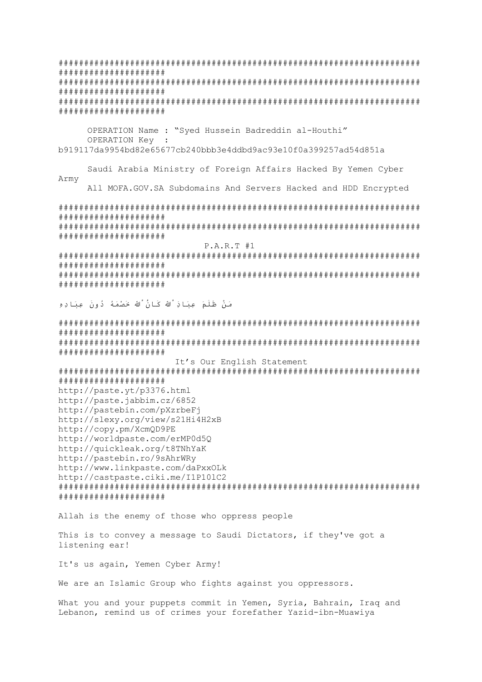# # # # # # # # # # # # # # # # # # # # # # # # # # # # # # # # # # # # # # # # # # # # # # # # # # # # # # # # # # # # OPERATION Name : "Syed Hussein Badreddin al-Houthi" OPERATION Key b919117da9954bd82e65677cb240bbb3e4ddbd9ac93e10f0a399257ad54d851a Saudi Arabia Ministry of Foreign Affairs Hacked By Yemen Cyber Army All MOFA.GOV.SA Subdomains And Servers Hacked and HDD Encrypted # # # # # # # # # # # # # # # # # # # # # # # # # # # # # # # # # # # # # # # #  $P.A.R.T$ #1 **######################** # # # # # # # # # # # # # # # # # # # # مَنْ ظَلَمَ عِبَادَ ۗالله كَانُ الله خَصْمَهُ دُونَ عِبَادِهِ # # # # # # # # # # # # # # # # # # # # # # # # # # # # # # # # # # # # # # # # It's Our English Statement # # # # # # # # # # # # # # # # # # # # http://paste.yt/p3376.html http://paste.jabbim.cz/6852 http://pastebin.com/pXzrbeFi http://slexy.org/view/s21Hi4H2xB http://copy.pm/XcmQD9PE http://worldpaste.com/erMP0d50 http://quickleak.org/t8TNhYaK http://pastebin.ro/9sAhrWRy http://www.linkpaste.com/daPxxOLk http://castpaste.ciki.me/I1P101C2 # # # # # # # # # # # # # # # # # # # # Allah is the enemy of those who oppress people This is to convey a message to Saudi Dictators, if they've got a listening ear!

It's us again, Yemen Cyber Army!

We are an Islamic Group who fights against you oppressors.

What you and your puppets commit in Yemen, Syria, Bahrain, Iraq and Lebanon, remind us of crimes your forefather Yazid-ibn-Muawiya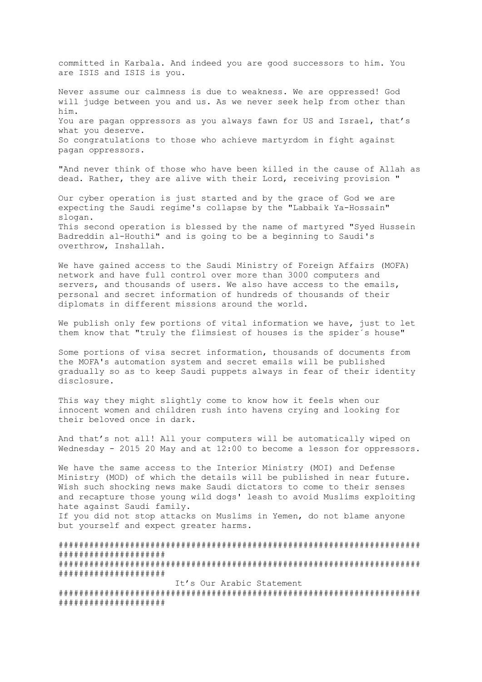committed in Karbala. And indeed you are good successors to him. You are ISIS and ISIS is you.

Never assume our calmness is due to weakness. We are oppressed! God will judge between you and us. As we never seek help from other than him. You are pagan oppressors as you always fawn for US and Israel, that's what you deserve. So congratulations to those who achieve martyrdom in fight against pagan oppressors.

"And never think of those who have been killed in the cause of Allah as dead. Rather, they are alive with their Lord, receiving provision "

Our cyber operation is just started and by the grace of God we are expecting the Saudi regime's collapse by the "Labbaik Ya-Hossain" slogan. This second operation is blessed by the name of martyred "Syed Hussein Badreddin al-Houthi" and is going to be a beginning to Saudi's overthrow, Inshallah.

We have gained access to the Saudi Ministry of Foreign Affairs (MOFA) network and have full control over more than 3000 computers and servers, and thousands of users. We also have access to the emails, personal and secret information of hundreds of thousands of their diplomats in different missions around the world.

We publish only few portions of vital information we have, just to let them know that "truly the flimsiest of houses is the spider´s house"

Some portions of visa secret information, thousands of documents from the MOFA's automation system and secret emails will be published gradually so as to keep Saudi puppets always in fear of their identity disclosure.

This way they might slightly come to know how it feels when our innocent women and children rush into havens crying and looking for their beloved once in dark.

And that's not all! All your computers will be automatically wiped on Wednesday - 2015 20 May and at 12:00 to become a lesson for oppressors.

We have the same access to the Interior Ministry (MOI) and Defense Ministry (MOD) of which the details will be published in near future. Wish such shocking news make Saudi dictators to come to their senses and recapture those young wild dogs' leash to avoid Muslims exploiting hate against Saudi family.

If you did not stop attacks on Muslims in Yemen, do not blame anyone but yourself and expect greater harms.

####################################################################### ##################### ####################################################################### ##################### It's Our Arabic Statement ####################################################################### #####################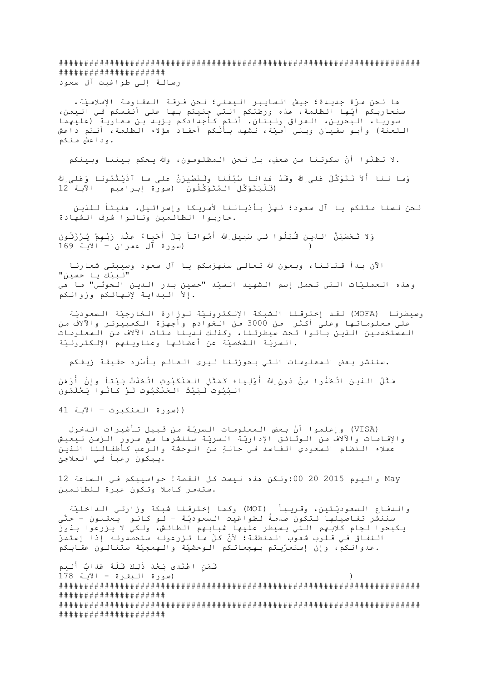####################################################################### ##################### رسالة إلى طواغيت آل سعود

ها نحن مرّة جديدة؛ جيش السايبر اليمني؛ نحن فرقة المقاومة اإلسالميّة، سنحاربكم أّيها الظلمة، هذه ورطتكم التي جنيتم بها على أنفسكم في اليمن، سوريا، البحرين، العراق ولبنان. أنتم كأجدادكم يزيد بن معاوية (عليهما اللعنة) وأبو سفيان وبني أميّة، نشهد بأنكم أحفاد هؤلاء الظلمة، أنتم داعش .وداعش منكم

.ال تظنّوا أّن سكوتنا من ضعف،ٍ بل نحن المظلومون، وَّللا يحكم بيننا وبينكم

وَما لنا أَلاَ نَتَوَكَّلَ عَلىَ للهَ وقَدْ هَدانا سُبُلَنا ولَنَصْبِرَنَّ على ما آذَيْتُمُونا وَعَلى الله (فَْليَتَوَكهلِ المُتَوَكُِّلون )سورة إبراهيم – اآلية 12

نحن لسنا مثلكم يا آل سعود؛ نهزّ بأذيالنا ألمريكا وإسرائيل، هنيئاً للذين .حاربوا الظالمين ونالوا شرف الشهادة

وَلا تَحْسَبَنَّ النيـن قُـتِلُوا فـي سَبيلِِ للهَ أَمْواتـاً بَـلْ أَحْياءُ عِنْدَ رَبًـهِمْ يُـرْزَقُون ( )سورة آل عمران – اآلية 169

الآن بـدأ قـتالـنا، وبـعون الله تـعالـى سنـهزمـكم يـا آل سعود وسيبقـى شعارنـا "لبيّك يا حسين" وهذه العمليّات التي تحمل إسم الشهيد السيّد "حسين بدر الدين الحوثي" ما هي .إالّ البداية إلنهائكم وزوالكم

وسيطرنا (MOFA) لقد إخترقنا الشبكة الإلكترونيّة لوزارة الخارجيّة السعوديّة على معلوماتها وعلى أكثر من 3000 من الخوادم وأجهزة الكمبيوتر واآلالف من المستخدمين الذين باتوا تحت سيطرتنا، وكذلك لدينا مئات اآلالف من المعلومات .السرّية الشخصيّة عن أعضائها وعناوينهم اإللكترونيّة

.سننشر بعض المعلومات التي بحوزتنا ليرى العالم بأَسْره حقيقة زيفكم

مَثَلُ الـذيـنَ اتَّخَذُوا مِنْ دُونِ ِللهَ أَوْلِياءَ كَمَثَلِ العَنْكَبُوتِ اتَّخَذَتْ بَيْتاً وإِنَّ أَوْهَنَ البُيُوتِ َلبَيْتُ العَنْكَبُوتِ َلوْ كاُنوا َيعَْلمُون

()سورة العنكبوت – اآلية 41

 (VISA (وإعلموا أّن بعض المعلومات السرّية من قبيل تأشيرات الدخول واإلقامات واآلالف من الوثائق اإلدارّية السرّية سننشرها مع مرور الزمن ليعيش عمالء النظام السعودي الفاسد في حالةٍ من الوحشة والرعب كأطفالنا الذين .يبكون رعباً في المالجئ

 May واليوم 2015 20 :00ولكن هذه ليست كل القصة! حواسيبكم في الساعة 12 .ستدمر كامال وتكون عبرة للظالمين

والدفاع السعودّيتين، وقريباً (MOI (وكما إخترقنا شبكة وزارتي الداخليّة سننشر تفاصيلها لتكون صدمًة لطواغيت السعودّية – لو كانوا يعقلون - حتّى يكبحوا لجام كالبهم التي يسيطر عليها شبابهم الطائش، ولكي ال يزرعوا بذورَ النفاق في قلوب شعوب المنطقة؛ ألّن كلّ ما تزرعونه ستحصدونه إذا إستمرّ .عدوانكم، وإن إستمرّيتم بهجماتكم الوحشيّة والهمجيّة ستنالون عقابكم

فَمَنِ اعْتَدى َبعَْد ذَِلكَ فََلُه عَذابٌ أَليم ( )سورة البقرة - اآلية 178 ####################################################################### ##################### ####################################################################### #####################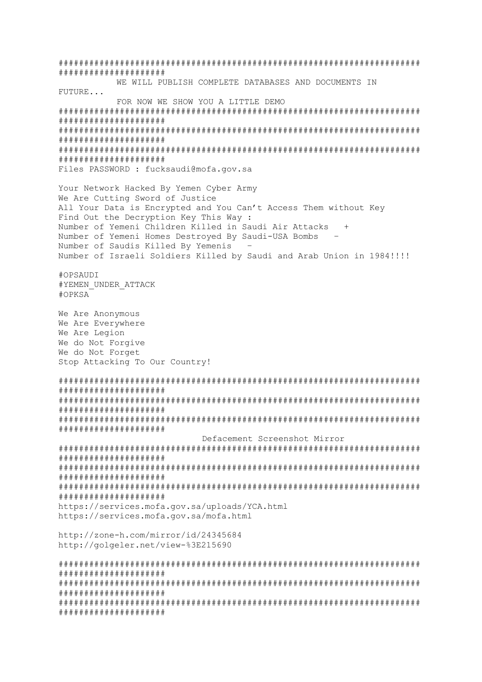# # # # # # # # # # # # # # # # # # # # WE WILL PUBLISH COMPLETE DATABASES AND DOCUMENTS IN FUTURE... FOR NOW WE SHOW YOU A LITTLE DEMO # # # # # # # # # # # # # # # # # # # # # # # # # # # # # # # # # # # # # # # # # # # # # # # # # # # # # # # # # # # # Files PASSWORD : fucksaudi@mofa.gov.sa Your Network Hacked By Yemen Cyber Army We Are Cutting Sword of Justice All Your Data is Encrypted and You Can't Access Them without Key Find Out the Decryption Key This Way : Number of Yemeni Children Killed in Saudi Air Attacks Number of Yemeni Homes Destroyed By Saudi-USA Bombs Number of Saudis Killed By Yemenis Number of Israeli Soldiers Killed by Saudi and Arab Union in 1984!!!! #OPSAUDI #YEMEN UNDER ATTACK #OPKSA We Are Anonymous We Are Everywhere We Are Legion We do Not Forgive We do Not Forget Stop Attacking To Our Country! # # # # # # # # # # # # # # # # # # # # # # # # # # # # # # # # # # # # # # # # # # # # # # # # # # # # # # # # # # # # Defacement Screenshot Mirror # # # # # # # # # # # # # # # # # # # # # # # # # # # # # # # # # # # # # # # # https://services.mofa.gov.sa/uploads/YCA.html https://services.mofa.gov.sa/mofa.html http://zone-h.com/mirror/id/24345684 http://golgeler.net/view-%3E215690 # # # # # # # # # # # # # # # # # # # # # # # # # # # # # # # # # # # # # # # # # # # # # # # # # # # # # # # # # # #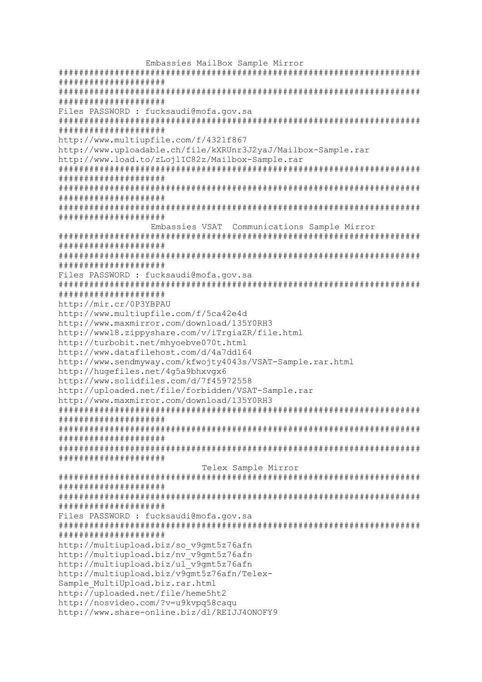Embassies MailBox Sample Mirror # # # # # # # # # # # # # # # # # # # # # # # # # # # # # # # # # # # # # # # Files PASSWORD : fucksaudi@mofa.gov.sa # # # # # # # # # # # # # # # # # # # # http://www.multiupfile.com/f/4321f867 http://www.uploadable.ch/file/kXRUnr3J2yaJ/Mailbox-Sample.rar http://www.load.to/zLoilIC82z/Mailbox-Sample.rar # # # # # # # # # # # # # # # # # # # # # # # # # # # # # # # # # # # # # # # # # # # # # # # # # # # # # # # # # # # Embassies VSAT Communications Sample Mirror # # # # # # # # # # # # # # # # # # # # # # # # # # # # # # # # # # # # # # # Files PASSWORD : fucksaudi@mofa.gov.sa # # # # # # # # # # # # # # # # # # # # http://mir.cr/0P3YBPAU http://www.multiupfile.com/f/5ca42e4d http://www.maxmirror.com/download/135Y0RH3 http://www18.zippyshare.com/v/iTrqiaZR/file.html http://turbobit.net/mhvoebve070t.html http://www.datafilehost.com/d/4a7dd164 http://www.sendmyway.com/kfwojty4043s/VSAT-Sample.rar.html http://hugefiles.net/4g5a9bhxvgx6 http://www.solidfiles.com/d/7f45972558 http://uploaded.net/file/forbidden/VSAT-Sample.rar http://www.maxmirror.com/download/135Y0RH3 # # # # # # # # # # # # # # # # # # # # # # # # # # # # # # # # # # # # # # # # # # # # # # # # # # # # # # # # # # # Telex Sample Mirror # # # # # # # # # # # # # # # # # # # # # # # # # # # # # # # # # # # # # # # # Files PASSWORD : fucksaudi@mofa.gov.sa # # # # # # # # # # # # # # # # # # # # http://multiupload.biz/so v9qmt5z76afn  $http://multiElog2.edu.biz/nv-v9amt5z76afn$ http://multiupload.biz/ul<sup>-</sup>v9gmt5z76afn http://multiupload.biz/v9qmt5z76afn/Telex-Sample MultiUpload.biz.rar.html  $http://uploaded.net/file/heme5ht2$ http://nosvideo.com/?v=u9kvpq58caqu http://www.share-online.biz/dl/REIJJ40NOFY9